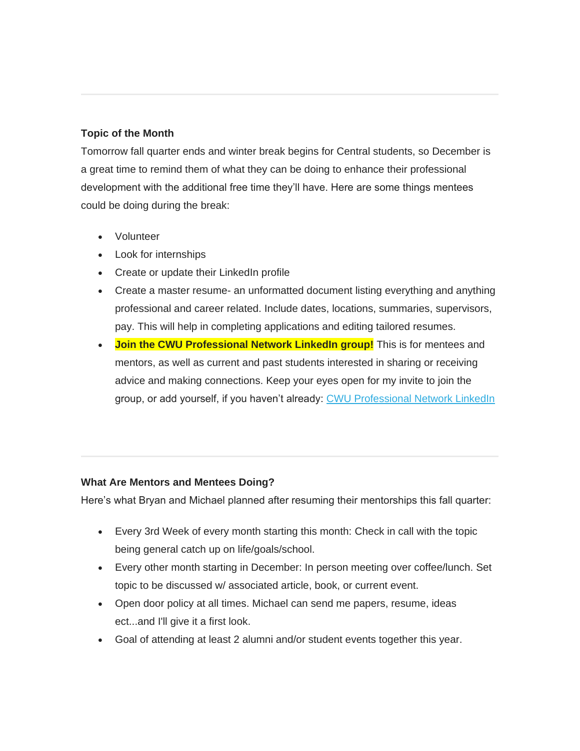## **Topic of the Month**

Tomorrow fall quarter ends and winter break begins for Central students, so December is a great time to remind them of what they can be doing to enhance their professional development with the additional free time they'll have. Here are some things mentees could be doing during the break:

- Volunteer
- Look for internships
- Create or update their LinkedIn profile
- Create a master resume- an unformatted document listing everything and anything professional and career related. Include dates, locations, summaries, supervisors, pay. This will help in completing applications and editing tailored resumes.
- **Join the CWU Professional Network LinkedIn group!** This is for mentees and mentors, as well as current and past students interested in sharing or receiving advice and making connections. Keep your eyes open for my invite to join the group, or add yourself, if you haven't already: [CWU Professional Network LinkedIn](https://www.linkedin.com/groups/13507300)

## **What Are Mentors and Mentees Doing?**

Here's what Bryan and Michael planned after resuming their mentorships this fall quarter:

- Every 3rd Week of every month starting this month: Check in call with the topic being general catch up on life/goals/school.
- Every other month starting in December: In person meeting over coffee/lunch. Set topic to be discussed w/ associated article, book, or current event.
- Open door policy at all times. Michael can send me papers, resume, ideas ect...and I'll give it a first look.
- Goal of attending at least 2 alumni and/or student events together this year.